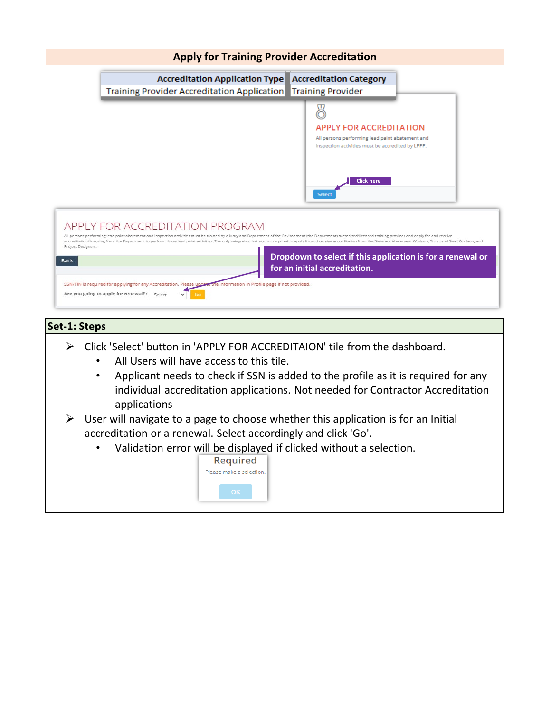

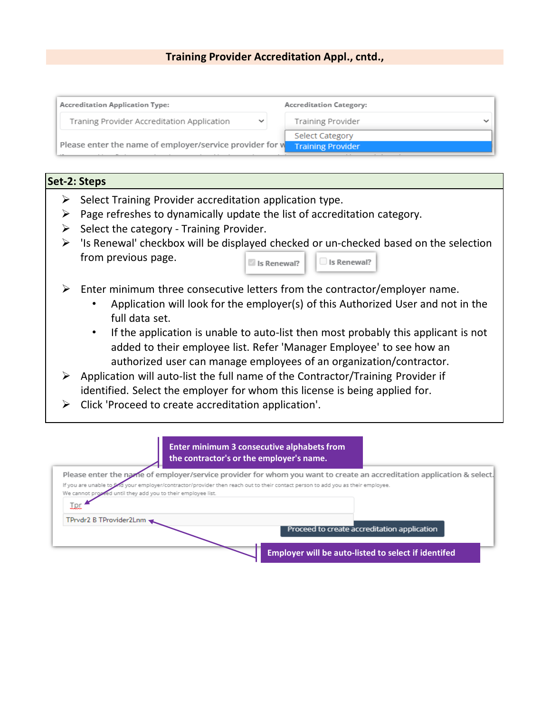# **Training Provider Accreditation Appl., cntd.,**



# **Set-2: Steps**

- $\triangleright$  Select Training Provider accreditation application type.
- $\triangleright$  Page refreshes to dynamically update the list of accreditation category.
- $\triangleright$  Select the category Training Provider.
- $\triangleright$  'Is Renewal' checkbox will be displayed checked or un-checked based on the selection from previous page. Is Renewal?  $\Box$  Is Renewal?
- $\triangleright$  Enter minimum three consecutive letters from the contractor/employer name.
	- Application will look for the employer(s) of this Authorized User and not in the full data set.
	- If the application is unable to auto-list then most probably this applicant is not added to their employee list. Refer 'Manager Employee' to see how an authorized user can manage employees of an organization/contractor.
- $\triangleright$  Application will auto-list the full name of the Contractor/Training Provider if identified. Select the employer for whom this license is being applied for.
- $\triangleright$  Click 'Proceed to create accreditation application'.

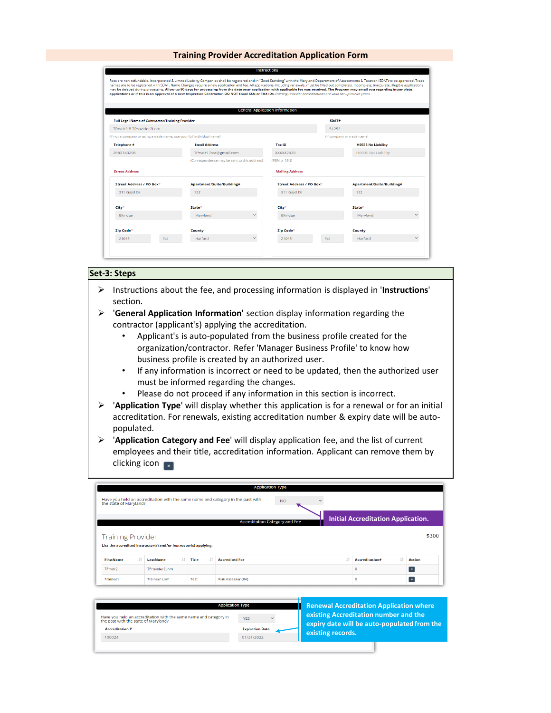|                                                          |                                                                         | <b>General Application Information</b> |                                                       |
|----------------------------------------------------------|-------------------------------------------------------------------------|----------------------------------------|-------------------------------------------------------|
| <b>Full Legal Name of Contractor/Training Provider</b>   |                                                                         |                                        | SDAT#                                                 |
| TPrvdr2 B TProvider2Lnm                                  |                                                                         |                                        | 51252                                                 |
|                                                          | (if not a company or using a trade name, use your full individual name) |                                        | (if company or trade name)                            |
| Telephone #                                              | <b>Email Address</b>                                                    | Tax ID                                 | <b>HB935 No Liability</b>                             |
|                                                          | TPrvdr1.lrca@gmail.com                                                  |                                        | <b>HB935 No Liability</b>                             |
|                                                          |                                                                         | XXXXX7439                              |                                                       |
|                                                          | (Correspondence may be sent to this address)                            | (FEIN or SSN)                          |                                                       |
|                                                          |                                                                         | <b>Mailing Address</b>                 |                                                       |
| Street Address / PO Box*                                 | Apartment/Suite/Building#                                               |                                        | Street Address / PO Box*<br>Apartment/Suite/Building# |
| 311 Gayd Dr                                              | 122                                                                     | 311 Gayd Dr                            | 122                                                   |
|                                                          | State*                                                                  | City*                                  | State*                                                |
| 2983743298<br><b>Street Address</b><br>City*<br>Elkridge | Maryland                                                                | $\checkmark$<br>Elkridge               | Maryland                                              |
|                                                          |                                                                         |                                        |                                                       |

#### **Set-3: Steps**

- Instructions about the fee, and processing information is displayed in '**Instructions**' section.
- '**General Application Information**' section display information regarding the contractor (applicant's) applying the accreditation.
	- Applicant's is auto-populated from the business profile created for the organization/contractor. Refer 'Manager Business Profile' to know how business profile is created by an authorized user.
	- If any information is incorrect or need to be updated, then the authorized user must be informed regarding the changes.
	- Please do not proceed if any information in this section is incorrect.
- '**Application Type**' will display whether this application is for a renewal or for an initial accreditation. For renewals, existing accreditation number & expiry date will be autopopulated.
- '**Application Category and Fee**' will display application fee, and the list of current employees and their title, accreditation information. Applicant can remove them by clicking icon  $\blacksquare$

|                                                                                                                        |                                                                  |       | <b>Application Type</b>               |  |  |                                           |    |               |  |
|------------------------------------------------------------------------------------------------------------------------|------------------------------------------------------------------|-------|---------------------------------------|--|--|-------------------------------------------|----|---------------|--|
| Have you held an accreditation with the same name and category in the past with<br><b>NO</b><br>the state of Maryland? |                                                                  |       |                                       |  |  |                                           |    |               |  |
|                                                                                                                        |                                                                  |       | <b>Accreditation Category and Fee</b> |  |  | <b>Initial Accreditation Application.</b> |    |               |  |
| <b>Training Provider</b>                                                                                               | List the accredited instructor(s) and/or Instructor(s) applying. |       |                                       |  |  |                                           |    | \$300         |  |
| <b>FirstName</b>                                                                                                       | It.<br>LastName                                                  | Title | <b>Accredited For</b>                 |  |  | Accreditation#                            | 11 | <b>Action</b> |  |
| TPrvdr2                                                                                                                | TProvider2Lnm                                                    |       |                                       |  |  | o                                         |    | $\mathbf x$   |  |
| Trainee1                                                                                                               | Trainee1Lnm                                                      | Test  | Risk Assessor (RA)                    |  |  | ٥                                         |    | $\propto$     |  |

| <b>Application Type</b>                                                                                   |                        | <b>Renewal Accreditation Application where</b> |
|-----------------------------------------------------------------------------------------------------------|------------------------|------------------------------------------------|
| Have you held an accreditation with the same name and category in<br>the past with the state of Maryland? | <b>YFS</b><br>$\sim$   | existing Accreditation number and the          |
| <b>Accreditation #</b>                                                                                    | <b>Expiration Date</b> | expiry date will be auto-populated from the    |
| 100024                                                                                                    | 01/31/2022             | existing records.                              |
|                                                                                                           |                        |                                                |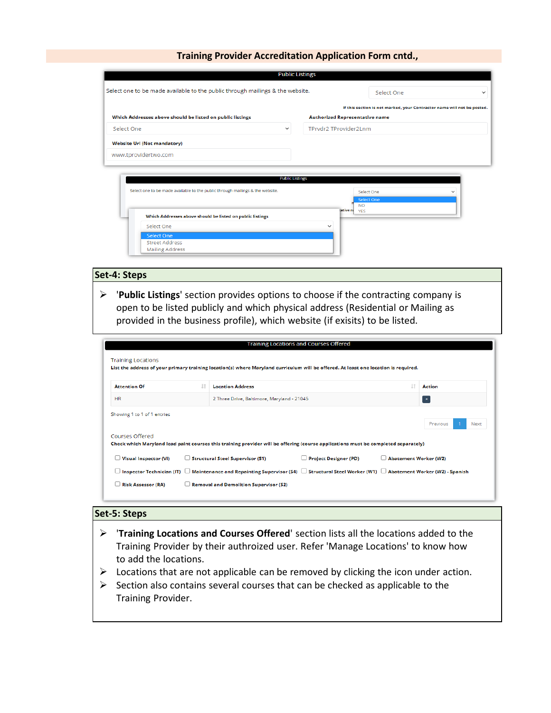|                                                                                                         | <b>Public Listings</b>                                                                                           |
|---------------------------------------------------------------------------------------------------------|------------------------------------------------------------------------------------------------------------------|
| Select one to be made available to the public through mailings & the website.                           | Select One<br>$\check{ }$                                                                                        |
| Which Addresses above should be listed on public listings                                               | If this section is not marked, your Contractor name will not be posted.<br><b>Authorized Representative name</b> |
| Select One<br>◡                                                                                         | TPrvdr2 TProvider2Lnm                                                                                            |
| <b>Website Url (Not mandatory)</b><br>www.tprovidertwo.com                                              |                                                                                                                  |
| <b>Public Listings</b><br>Select one to be made available to the public through mailings & the website. | Select One                                                                                                       |
|                                                                                                         | <b>Select One</b><br><b>NO</b>                                                                                   |
| Which Addresses above should be listed on public listings                                               | ative ni YES                                                                                                     |
| Select One                                                                                              | $\check{ }$                                                                                                      |
| Select One                                                                                              |                                                                                                                  |
| <b>Street Address</b><br><b>Mailing Address</b>                                                         |                                                                                                                  |

### **Set-4: Steps**

 '**Public Listings**' section provides options to choose if the contracting company is open to be listed publicly and which physical address (Residential or Mailing as provided in the business profile), which website (if exisits) to be listed.

| <b>Training Locations</b>                      |    |                                            | <b>Training Locations and Courses Offered</b>                                                                                                                       |                       |                         |  |
|------------------------------------------------|----|--------------------------------------------|---------------------------------------------------------------------------------------------------------------------------------------------------------------------|-----------------------|-------------------------|--|
|                                                |    |                                            | List the address of your primary training location(s) where Maryland curriculum will be offered. At least one location is required.                                 |                       |                         |  |
| <b>Attention Of</b>                            | ΙŤ | <b>Location Address</b>                    |                                                                                                                                                                     |                       | <b>Action</b>           |  |
| <b>HR</b>                                      |    | 2 Three Drive, Baltimore, Maryland - 21045 |                                                                                                                                                                     |                       | <b>RX</b>               |  |
| Showing 1 to 1 of 1 entries<br>Courses Offered |    |                                            | Check which Maryland lead paint courses this training provider will be offering (course applications must be completed separately)                                  |                       | Previous<br><b>Next</b> |  |
| $\Box$ Visual Inspector (VI)                   |    | $\Box$ Structural Steel Supervisor (S1)    | $\Box$ Project Designer (PD)                                                                                                                                        | Abatement Worker (W2) |                         |  |
|                                                |    |                                            | $\Box$ Inspector Technician (IT) $\;\Box$ Maintenance and Repainting Supervisor (S4) $\;\Box$ Structural Steel Worker (W1) $\;\Box$ Abatement Worker (W2) - Spanish |                       |                         |  |
|                                                |    |                                            |                                                                                                                                                                     |                       |                         |  |

### **Set-5: Steps**

- '**Training Locations and Courses Offered**' section lists all the locations added to the Training Provider by their authroized user. Refer 'Manage Locations' to know how to add the locations.
- $\triangleright$  Locations that are not applicable can be removed by clicking the icon under action.
- $\triangleright$  Section also contains several courses that can be checked as applicable to the Training Provider.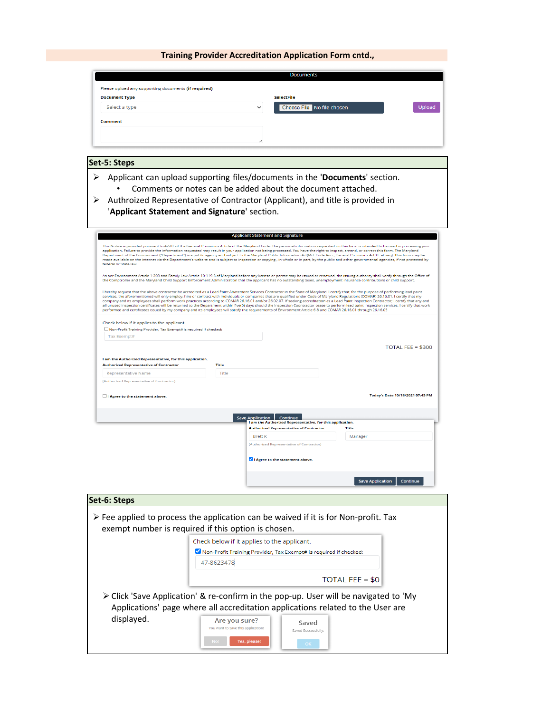| Please upload any supporting documents (if required)<br><b>Document Type</b><br>Select a type<br><b>Comment</b>                        |                                                                                                                                                                                                                                                                                                                                                                                                                                                                                                                                                                                                                                                                                                                                                                                                                                                                                                                                                          |
|----------------------------------------------------------------------------------------------------------------------------------------|----------------------------------------------------------------------------------------------------------------------------------------------------------------------------------------------------------------------------------------------------------------------------------------------------------------------------------------------------------------------------------------------------------------------------------------------------------------------------------------------------------------------------------------------------------------------------------------------------------------------------------------------------------------------------------------------------------------------------------------------------------------------------------------------------------------------------------------------------------------------------------------------------------------------------------------------------------|
|                                                                                                                                        |                                                                                                                                                                                                                                                                                                                                                                                                                                                                                                                                                                                                                                                                                                                                                                                                                                                                                                                                                          |
|                                                                                                                                        | <b>SelectFile</b>                                                                                                                                                                                                                                                                                                                                                                                                                                                                                                                                                                                                                                                                                                                                                                                                                                                                                                                                        |
|                                                                                                                                        | Choose File No file chosen<br>Upload                                                                                                                                                                                                                                                                                                                                                                                                                                                                                                                                                                                                                                                                                                                                                                                                                                                                                                                     |
|                                                                                                                                        |                                                                                                                                                                                                                                                                                                                                                                                                                                                                                                                                                                                                                                                                                                                                                                                                                                                                                                                                                          |
|                                                                                                                                        |                                                                                                                                                                                                                                                                                                                                                                                                                                                                                                                                                                                                                                                                                                                                                                                                                                                                                                                                                          |
|                                                                                                                                        |                                                                                                                                                                                                                                                                                                                                                                                                                                                                                                                                                                                                                                                                                                                                                                                                                                                                                                                                                          |
|                                                                                                                                        |                                                                                                                                                                                                                                                                                                                                                                                                                                                                                                                                                                                                                                                                                                                                                                                                                                                                                                                                                          |
|                                                                                                                                        |                                                                                                                                                                                                                                                                                                                                                                                                                                                                                                                                                                                                                                                                                                                                                                                                                                                                                                                                                          |
| Set-5: Steps                                                                                                                           |                                                                                                                                                                                                                                                                                                                                                                                                                                                                                                                                                                                                                                                                                                                                                                                                                                                                                                                                                          |
| ⋗<br>➤<br>'Applicant Statement and Signature' section.                                                                                 | Applicant can upload supporting files/documents in the 'Documents' section.<br>Comments or notes can be added about the document attached.<br>Authroized Representative of Contractor (Applicant), and title is provided in                                                                                                                                                                                                                                                                                                                                                                                                                                                                                                                                                                                                                                                                                                                              |
|                                                                                                                                        | <b>Applicant Statement and Signature</b>                                                                                                                                                                                                                                                                                                                                                                                                                                                                                                                                                                                                                                                                                                                                                                                                                                                                                                                 |
| federal or State law.                                                                                                                  | This Notice is provided pursuant to 4-501 of the General Provisions Article of the Maryland Code. The personal information requested on this form is intended to be used in processing your<br>application. Failure to provide the information requested may result in your application not being processed. You have the right to inspect, amend, or correct this form. The Maryland<br>Department of the Environment ("Department") is a public agency and subject to the Maryland Public Information Act(Md, Code Ann., General Provisions 4-101, et seg), This form may be<br>made available on the internet via the Department's website and is subject to inspection or copying, in whole or in part, by the public and other governmental agencies, if not protected by                                                                                                                                                                           |
|                                                                                                                                        | As per Environment Article 1-203 and Family Law Article 10-119.3 of Maryland before any license or permit may be issued or renewed, the issuing authority shall verify through the Office of<br>the Comptroller and the Maryland Child Support Enforcement Administration that the applicant has no outstanding taxes, unemployment insurance contributions or child support.                                                                                                                                                                                                                                                                                                                                                                                                                                                                                                                                                                            |
|                                                                                                                                        | I hereby request that the above contractor be accredited as a Lead Paint Abatement Services Contractor in the State of Maryland. I certify that, for the purpose of performing lead paint<br>services, the aforementioned will only employ, hire or contract with individuals or companies that are qualified under Code of Maryland Regulations (COMAR) 26.16.01. I certify that my<br>company and its employees shall perform work practices according to COMAR 26.16.01 and/or 26.02.07. If seeking accreditation as a Lead Paint Inspection Contractor; I certify that any and<br>all unused inspection certificates will be returned to the Department within five(5) days should the Inspection Coontractor cease to perform lead paint inspection services. I certify that work<br>performed and certificates issued by my company and its employees will satisfy the requirements of Environment Article 6-8 and COMAR 26.16.01 through 26.16.05 |
| Check below if it applies to the applicant.<br>Non-Profit Training Provider, Tax Exempt# is required if checked:<br><b>Tax Exempt#</b> |                                                                                                                                                                                                                                                                                                                                                                                                                                                                                                                                                                                                                                                                                                                                                                                                                                                                                                                                                          |
|                                                                                                                                        | TOTAL FEE = $$300$                                                                                                                                                                                                                                                                                                                                                                                                                                                                                                                                                                                                                                                                                                                                                                                                                                                                                                                                       |
|                                                                                                                                        |                                                                                                                                                                                                                                                                                                                                                                                                                                                                                                                                                                                                                                                                                                                                                                                                                                                                                                                                                          |
| I am the Authorized Representative, for this application.<br><b>Authorized Representative of Contractor</b><br>Title                   |                                                                                                                                                                                                                                                                                                                                                                                                                                                                                                                                                                                                                                                                                                                                                                                                                                                                                                                                                          |
| Representative Name<br>Title                                                                                                           |                                                                                                                                                                                                                                                                                                                                                                                                                                                                                                                                                                                                                                                                                                                                                                                                                                                                                                                                                          |
| (Authorized Representative of Contractor)                                                                                              |                                                                                                                                                                                                                                                                                                                                                                                                                                                                                                                                                                                                                                                                                                                                                                                                                                                                                                                                                          |
| □ I Agree to the statement above.                                                                                                      | Today's Date 10/18/2021 07:45 PM                                                                                                                                                                                                                                                                                                                                                                                                                                                                                                                                                                                                                                                                                                                                                                                                                                                                                                                         |
|                                                                                                                                        | Save Application   Continue                                                                                                                                                                                                                                                                                                                                                                                                                                                                                                                                                                                                                                                                                                                                                                                                                                                                                                                              |
|                                                                                                                                        | I am the Authorized Representative, for this application.<br><b>Authorized Representative of Contractor</b><br><b>Title</b>                                                                                                                                                                                                                                                                                                                                                                                                                                                                                                                                                                                                                                                                                                                                                                                                                              |
|                                                                                                                                        | <b>Brett K</b><br>Manager                                                                                                                                                                                                                                                                                                                                                                                                                                                                                                                                                                                                                                                                                                                                                                                                                                                                                                                                |
|                                                                                                                                        | (Authorized Representative of Contractor)                                                                                                                                                                                                                                                                                                                                                                                                                                                                                                                                                                                                                                                                                                                                                                                                                                                                                                                |
|                                                                                                                                        | I Agree to the statement above.                                                                                                                                                                                                                                                                                                                                                                                                                                                                                                                                                                                                                                                                                                                                                                                                                                                                                                                          |
|                                                                                                                                        |                                                                                                                                                                                                                                                                                                                                                                                                                                                                                                                                                                                                                                                                                                                                                                                                                                                                                                                                                          |
|                                                                                                                                        |                                                                                                                                                                                                                                                                                                                                                                                                                                                                                                                                                                                                                                                                                                                                                                                                                                                                                                                                                          |
|                                                                                                                                        | <b>Save Application</b><br>Continue                                                                                                                                                                                                                                                                                                                                                                                                                                                                                                                                                                                                                                                                                                                                                                                                                                                                                                                      |
|                                                                                                                                        |                                                                                                                                                                                                                                                                                                                                                                                                                                                                                                                                                                                                                                                                                                                                                                                                                                                                                                                                                          |
|                                                                                                                                        |                                                                                                                                                                                                                                                                                                                                                                                                                                                                                                                                                                                                                                                                                                                                                                                                                                                                                                                                                          |
|                                                                                                                                        |                                                                                                                                                                                                                                                                                                                                                                                                                                                                                                                                                                                                                                                                                                                                                                                                                                                                                                                                                          |
|                                                                                                                                        | $\triangleright$ Fee applied to process the application can be waived if it is for Non-profit. Tax                                                                                                                                                                                                                                                                                                                                                                                                                                                                                                                                                                                                                                                                                                                                                                                                                                                       |
| exempt number is required if this option is chosen.                                                                                    |                                                                                                                                                                                                                                                                                                                                                                                                                                                                                                                                                                                                                                                                                                                                                                                                                                                                                                                                                          |
|                                                                                                                                        | Check below if it applies to the applicant.                                                                                                                                                                                                                                                                                                                                                                                                                                                                                                                                                                                                                                                                                                                                                                                                                                                                                                              |
|                                                                                                                                        | Non-Profit Training Provider, Tax Exempt# is required if checked:                                                                                                                                                                                                                                                                                                                                                                                                                                                                                                                                                                                                                                                                                                                                                                                                                                                                                        |
| Set-6: Steps<br>47-8623478                                                                                                             |                                                                                                                                                                                                                                                                                                                                                                                                                                                                                                                                                                                                                                                                                                                                                                                                                                                                                                                                                          |
|                                                                                                                                        |                                                                                                                                                                                                                                                                                                                                                                                                                                                                                                                                                                                                                                                                                                                                                                                                                                                                                                                                                          |
|                                                                                                                                        | TOTAL FEE = $$0$                                                                                                                                                                                                                                                                                                                                                                                                                                                                                                                                                                                                                                                                                                                                                                                                                                                                                                                                         |
|                                                                                                                                        |                                                                                                                                                                                                                                                                                                                                                                                                                                                                                                                                                                                                                                                                                                                                                                                                                                                                                                                                                          |
|                                                                                                                                        | > Click 'Save Application' & re-confirm in the pop-up. User will be navigated to 'My                                                                                                                                                                                                                                                                                                                                                                                                                                                                                                                                                                                                                                                                                                                                                                                                                                                                     |
|                                                                                                                                        | Applications' page where all accreditation applications related to the User are                                                                                                                                                                                                                                                                                                                                                                                                                                                                                                                                                                                                                                                                                                                                                                                                                                                                          |
| displayed.                                                                                                                             | Are you sure?<br>Saved                                                                                                                                                                                                                                                                                                                                                                                                                                                                                                                                                                                                                                                                                                                                                                                                                                                                                                                                   |
|                                                                                                                                        | You want to save this application!<br>Saved Successfully.                                                                                                                                                                                                                                                                                                                                                                                                                                                                                                                                                                                                                                                                                                                                                                                                                                                                                                |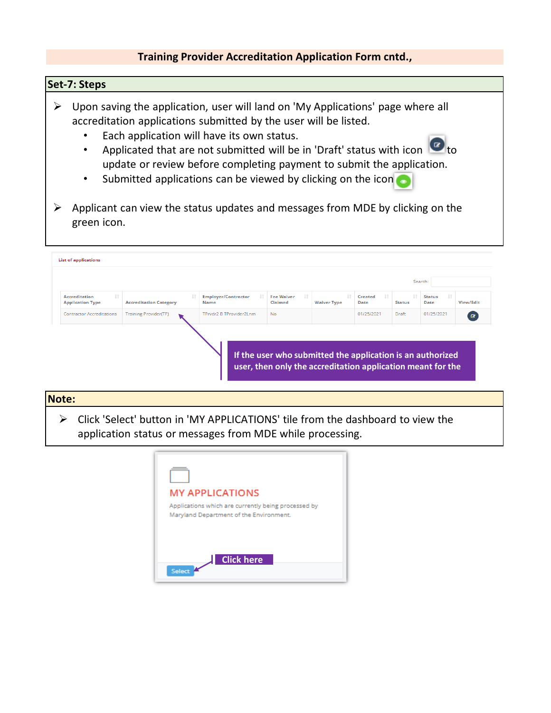### **Set-7: Steps**

- $\triangleright$  Upon saving the application, user will land on 'My Applications' page where all accreditation applications submitted by the user will be listed.
	- Each application will have its own status.
	- Applicated that are not submitted will be in 'Draft' status with icon  $\Box$  to update or review before completing payment to submit the application.
	- Submitted applications can be viewed by clicking on the icon
- $\triangleright$  Applicant can view the status updates and messages from MDE by clicking on the green icon.

| Search:                                                |                               |                                            |                                                                                                                           |                    |                       |               |                                |           |  |
|--------------------------------------------------------|-------------------------------|--------------------------------------------|---------------------------------------------------------------------------------------------------------------------------|--------------------|-----------------------|---------------|--------------------------------|-----------|--|
| Jî.<br><b>Accreditation</b><br><b>Application Type</b> | <b>Accreditation Category</b> | J.T.<br><b>Employer/Contractor</b><br>Name | <b>It</b><br><b>Fee Waiver</b><br>Claimed                                                                                 | <b>Waiver Type</b> | 1î<br>Created<br>Date | <b>Status</b> | $\pm$<br><b>Status</b><br>Date | View/Edit |  |
| <b>Contractor Accreditations</b>                       | <b>Training Provider(TP)</b>  | TPrvdr2 B TProvider2Lnm                    | No.                                                                                                                       |                    | 01/25/2021            | Draft         | 01/25/2021                     | $\alpha$  |  |
|                                                        |                               |                                            | If the user who submitted the application is an authorized<br>user, then only the accreditation application meant for the |                    |                       |               |                                |           |  |

# **Note:** Click 'Select' button in 'MY APPLICATIONS' tile from the dashboard to view the application status or messages from MDE while processing.

| <b>MY APPLICATIONS</b>                                                                         |
|------------------------------------------------------------------------------------------------|
| Applications which are currently being processed by<br>Maryland Department of the Environment. |
|                                                                                                |
| <b>Click here</b><br>Select                                                                    |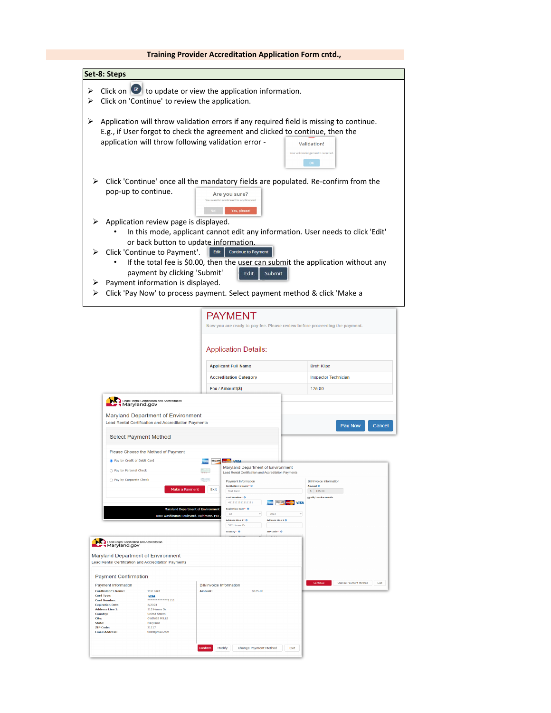| Set-8: Steps                                                                                                                                                                                                                                                                                                                                       |                                                                                                                                                                                                                                                                                                                                                                                               |                                                                                        |
|----------------------------------------------------------------------------------------------------------------------------------------------------------------------------------------------------------------------------------------------------------------------------------------------------------------------------------------------------|-----------------------------------------------------------------------------------------------------------------------------------------------------------------------------------------------------------------------------------------------------------------------------------------------------------------------------------------------------------------------------------------------|----------------------------------------------------------------------------------------|
| ➤<br>Click on 'Continue' to review the application.<br>⋗                                                                                                                                                                                                                                                                                           | Click on $\bullet$ to update or view the application information.                                                                                                                                                                                                                                                                                                                             |                                                                                        |
| ⋗<br>application will throw following validation error -                                                                                                                                                                                                                                                                                           | Application will throw validation errors if any required field is missing to continue.<br>E.g., if User forgot to check the agreement and clicked to continue, then the                                                                                                                                                                                                                       | <b>Validation!</b><br>Your acknowledgement is required<br>OK                           |
| $\triangleright$ Click 'Continue' once all the mandatory fields are populated. Re-confirm from the<br>pop-up to continue.<br>Application review page is displayed.<br>or back button to update information.<br>Click 'Continue to Payment'.<br>payment by clicking 'Submit'<br>Payment information is displayed.                                   | Are you sure?<br>You want to continue this application!<br>Yes, please!<br>In this mode, applicant cannot edit any information. User needs to click 'Edit'<br><b>Continue to Payment</b><br>Edit<br>If the total fee is \$0.00, then the user can submit the application without any<br>Edit<br>Submit<br>Click 'Pay Now' to process payment. Select payment method & click 'Make a           |                                                                                        |
|                                                                                                                                                                                                                                                                                                                                                    |                                                                                                                                                                                                                                                                                                                                                                                               |                                                                                        |
| Lead Rental Certification and Accreditation<br>Maryland Department of Environment<br>Lead Rental Certification and Accreditation Payments                                                                                                                                                                                                          | <b>Application Details:</b><br><b>Applicant Full Name</b><br><b>Accreditation Category</b><br>Fee / Amount(\$)                                                                                                                                                                                                                                                                                | <b>Brett Klipz</b><br><b>Inspector Technician</b><br>125.00<br>Pay Now<br>Cancel       |
| <b>Select Payment Method</b>                                                                                                                                                                                                                                                                                                                       |                                                                                                                                                                                                                                                                                                                                                                                               |                                                                                        |
| Please Choose the Method of Payment<br>Pay by Credit or Debit Card<br>pay by Personal Check<br>Pay by Corporate Check<br>Make a Payment<br>Maryland Department of Environment<br>1800 Washington Boulevard, Baltimore, MD                                                                                                                          | Maryland Department of Environment<br>$\sim$<br>Lead Rental Certification and Accreditation Payments<br>÷<br>Payment Information<br>Cardholder's Name* O<br>Exit<br><b>Test Card</b><br>Card Number* O<br>4111111111111111<br><b>BOSC VIR RESIDENCE</b> VISA<br><b>Expiration Date* @</b><br>02<br>2023<br>Address Line 1* 0<br>Address Line 2 0<br>512 Henne Dr<br>Country* O<br>ZIP Code* 0 | <b>Bill/Invoice Information</b><br>Amount O<br>$S = 125.00$<br>Fi Bill/Invoice Details |
| Lead Rental Certification and Accreditation<br>Maryland.gov<br>Maryland Department of Environment<br>Lead Rental Certification and Accreditation Payments<br><b>Payment Confirmation</b><br>Payment Information<br><b>Cardholder's Name:</b><br><b>Test Card</b><br>Card Type:<br><b>VISA</b><br>$\cdots$ $\cdots$ $\cdots$<br><b>Card Number:</b> | <b>Bill/Invoice Information</b><br><b>Amount:</b><br>\$125.00                                                                                                                                                                                                                                                                                                                                 | Change Payment Method<br>Exit                                                          |